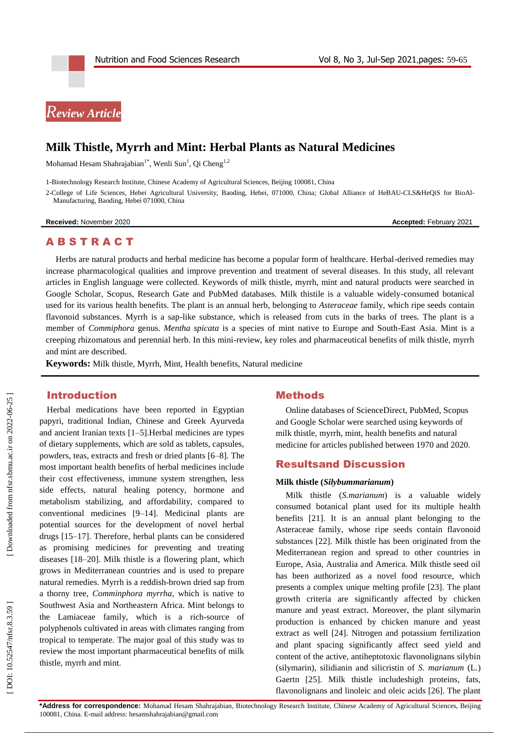# *Review Article*

# **Milk Thistle, Myrrh and Mint: Herbal Plants as Natural Medicines**

Mohamad Hesam Shahrajabian<sup>1\*</sup>, Wenli Sun<sup>1</sup>, Qi Cheng<sup>1,2</sup>

1 -Biotechnology Research Institute, Chinese Academy of Agricultural Sciences, Beijing 100081, China

2 -College of Life Sciences, Hebei Agricultural University, Baoding, Hebei, 071000, China; Global Alliance of HeBAU -CLS&HeQiS for BioAl - Manufacturing, Baoding, Hebei 071000, China

**Received:** November 2020 **Accepted: February 2021** 

# **ABSTRACT**

Herbs are natural products and herbal medicine has become a popular form of healthcare. Herbal -derived remedies may increase pharmacological qualities and improve prevention and treatment of several diseases. In this study, all relevant articles in English language were collected. Keywords of milk thistle, myrrh, mint and natural products were searched in Google Scholar, Scopus, Research Gate and PubMed databases. Milk thistile is a valuable widely -consumed botanical used for its various health benefits. The plant is an annual herb, belonging to *Asteraceae* family, which ripe seeds contain flavonoid substances. Myrrh is a sap-like substance, which is released from cuts in the barks of trees. The plant is a member of *Commiphora* genus. *Mentha spicata* is a species of mint native to Europe and South -East Asia. Mint is a creeping rhizomatous and perennial herb. In this mini -review, key roles and pharmaceutical benefits of milk thistle, myrrh and mint are described.

**Keywords:** Milk thistle, Myrrh, Mint, Health benefits, Natural medicine

## Introduction

Herbal medications have been reported in Egyptian papyri, traditional Indian, Chinese and Greek Ayurveda and ancient Iranian texts [1 –5].Herbal medicines are types of dietary supplements, which are sold as tablets, capsules, powders, teas, extracts and fresh or dried plants [6 –8]. The most important health benefits of herbal medicines include their cost effectiveness, immune system strengthen, less side effects, natural healing potency, hormone and metabolism stabilizing, and affordability, compared to conventional medicines [9 –14]. Medicinal plants are potential sources for the development of novel herbal drugs [15 –17]. Therefore, herbal plants can be considered as promising medicines for preventing and treating diseases [18 –20]. Milk thistle is a flowering plant, which grows in Mediterranean countries and is used to prepare natural remedies. Myrrh is a reddish -brown dried sap from a thorny tree, *Comminphora myrrha*, which is native to Southwest Asia and Northeastern Africa. Mint belongs to the Lamiaceae family, which is a rich -source of polyphenols cultivated in areas with climates ranging from tropical to temperate. The major goal of this study was to review the most important pharmaceutical benefits of milk thistle, myrrh and mint.

# **Methods**

Online databases of ScienceDirect, PubMed, Scopus and Google Scholar were searched using keywords of milk thistle, myrrh, mint, health benefits and natural medicine for articles published between 1970 and 2020.

### Resultsand Discussion

#### **Milk thistle (***Silybummarianum* **)**

Milk thistle (*S.marianum*) is a valuable widely consumed botanical plant used for its multiple health benefits [21]. It is an annual plant belonging to the Asteraceae family, whose ripe seeds contain flavonoid substances [22]. Milk thistle has been originated from the Mediterranean region and spread to other countries in Europe, Asia, Australia and America. Milk thistle seed oil has been authorized as a novel food resource, which presents a complex unique melting profile [23]. The plant growth criteria are significantly affected by chicken manure and yeast extract. Moreover, the plant silymarin production is enhanced by chicken manure and yeast extract as well [24]. Nitrogen and potassium fertilization and plant spacing significantly affect seed yield and content of the active, antiheptotoxic flavonolignans silybin (silymarin), silidianin and silicristin of *S. marianum* (L.) Gaertn [25]. Milk thistle includeshigh proteins, fats, flavonolignans and linoleic and oleic acids [26]. The plant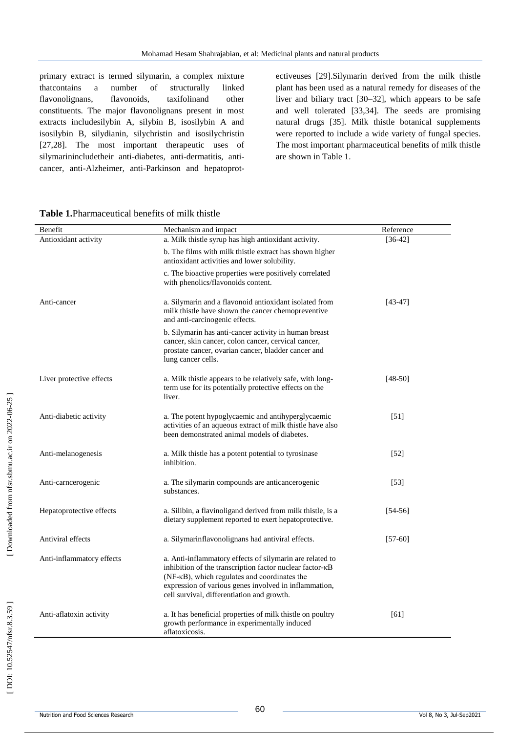primary extract is termed silymarin, a complex mixture thatcontains a number of structurally linked flavonolignans, flavonoids, taxifolinand other constituents. The major flavonolignans present in most extracts includesilybin A, silybin B, isosilybin A and isosilybin B, silydianin, silychristin and isosilychristin [27,28]. The most important therapeutic uses of silymarinincludetheir anti-diabetes, anti-dermatitis, anticancer, anti -Alzheimer, anti -Parkinson and hepatoprot -

ectiveuses [29].Silymarin derived from the milk thistle plant has been used as a natural remedy for diseases of the liver and biliary tract [30 –32], which appears to be safe and well tolerated [33,34]. The seeds are promising natural drugs [35]. Milk thistle botanical supplements were reported to include a wide variety of fungal species. The most important pharmaceutical benefits of milk thistle are shown in Table 1.

| <b>Table 1. Pharmaceutical benefits of milk thistle</b> |
|---------------------------------------------------------|
|---------------------------------------------------------|

| Benefit                   | Mechanism and impact                                                                                                                                                                                                                                                                 | Reference         |
|---------------------------|--------------------------------------------------------------------------------------------------------------------------------------------------------------------------------------------------------------------------------------------------------------------------------------|-------------------|
| Antioxidant activity      | a. Milk thistle syrup has high antioxidant activity.                                                                                                                                                                                                                                 | $[36-42]$         |
|                           | b. The films with milk thistle extract has shown higher<br>antioxidant activities and lower solubility.                                                                                                                                                                              |                   |
|                           | c. The bioactive properties were positively correlated<br>with phenolics/flavonoids content.                                                                                                                                                                                         |                   |
| Anti-cancer               | a. Silymarin and a flavonoid antioxidant isolated from<br>milk thistle have shown the cancer chemopreventive<br>and anti-carcinogenic effects.                                                                                                                                       | $[43-47]$         |
|                           | b. Silymarin has anti-cancer activity in human breast<br>cancer, skin cancer, colon cancer, cervical cancer,<br>prostate cancer, ovarian cancer, bladder cancer and<br>lung cancer cells.                                                                                            |                   |
| Liver protective effects  | a. Milk thistle appears to be relatively safe, with long-<br>term use for its potentially protective effects on the<br>liver.                                                                                                                                                        | $[48-50]$         |
| Anti-diabetic activity    | a. The potent hypoglycaemic and antihyperglycaemic<br>activities of an aqueous extract of milk thistle have also<br>been demonstrated animal models of diabetes.                                                                                                                     | $[51]$            |
| Anti-melanogenesis        | a. Milk thistle has a potent potential to tyrosinase<br>inhibition.                                                                                                                                                                                                                  | $\left[52\right]$ |
| Anti-carncerogenic        | a. The silymarin compounds are anticancerogenic<br>substances.                                                                                                                                                                                                                       | $\left[53\right]$ |
| Hepatoprotective effects  | a. Silibin, a flavinoligand derived from milk thistle, is a<br>dietary supplement reported to exert hepatoprotective.                                                                                                                                                                | $[54-56]$         |
| Antiviral effects         | a. Silymarinflavonolignans had antiviral effects.                                                                                                                                                                                                                                    | $[57-60]$         |
| Anti-inflammatory effects | a. Anti-inflammatory effects of silymarin are related to<br>inhibition of the transcription factor nuclear factor- $\kappa$ B<br>(NF-κB), which regulates and coordinates the<br>expression of various genes involved in inflammation,<br>cell survival, differentiation and growth. |                   |
| Anti-aflatoxin activity   | a. It has beneficial properties of milk thistle on poultry<br>growth performance in experimentally induced<br>aflatoxicosis.                                                                                                                                                         | [61]              |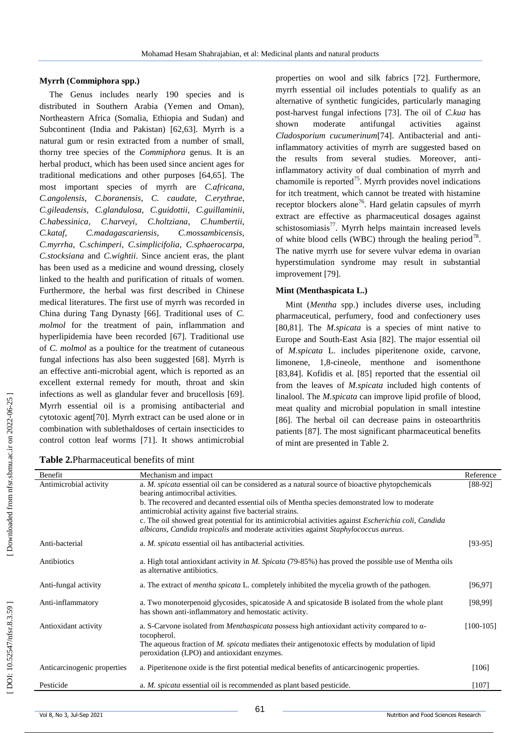## **Myrrh (Commiphora spp.)**

The Genus includes nearly 190 species and is distributed in Southern Arabia (Yemen and Oman), Northeastern Africa (Somalia, Ethiopia and Sudan) and Subcontinent (India and Pakistan) [62,63]. Myrrh is a natural gum or resin extracted from a number of small, thorny tree species of the *Commiphora* genus. It is an herbal product, which has been used since ancient ages for traditional medications and other purposes [64,65]. The most important species of myrrh are *C.africana*, *C.angolensis*, *C.boranensis*, *C. caudate*, *C.erythrae*, *C.gileadensis*, *C.glandulosa*, *C.guidottii*, *C.guillaminii*, *C.habessinica*, *C.harveyi*, *C.holtziana*, *C.humbertii*, *C.kataf*, *C.madagascariensis*, *C.mossambicensis*, *C.myrrha*, *C.schimperi*, *C.simplicifolia*, *C.sphaerocarpa*, *C.stocksiana* and *C.wightii*. Since ancient eras, the plant has been used as a medicine and wound dressing, closely linked to the health and purification of rituals of women. Furthermore, the herbal was first described in Chinese medical literatures. The first use of myrrh was recorded in China during Tang Dynasty [66]. Traditional uses of *C. molmol* for the treatment of pain, inflammation and hyperlipidemia have been recorded [67]. Traditional use of *C. molmol* as a poultice for the treatment of cutaneous fungal infections has also been suggested [68]. Myrrh is an effective anti -microbial agent, which is reported as an excellent external remedy for mouth, throat and skin infections as well as glandular fever and brucellosis [69]. Myrrh essential oil is a promising antibacterial and cytotoxic agent[70]. Myrrh extract can be used alone or in combination with sublethaldoses of certain insecticides to control cotton leaf worms [71]. It shows antimicrobial

**Table 2.**Pharmaceutical benefits of mint

properties on wool and silk fabrics [72]. Furthermore, myrrh essential oil includes potentials to qualify as an alternative of synthetic fungicides, particularly managing post -harvest fungal infections [73]. The oil of *C.kua* has shown moderate antifungal activities against *Cladosporium cucumerinum*[74]. Antibacterial and anti inflammatory activities of myrrh are suggested based on the results from several studies. Moreover, anti inflammatory activity of dual combination of myrrh and chamomile is reported<sup>75</sup>. Myrrh provides novel indications for itch treatment, which cannot be treated with histamine receptor blockers alone<sup>76</sup>. Hard gelatin capsules of myrrh extract are effective as pharmaceutical dosages against schistosomiasis $^{77}$ . Myrrh helps maintain increased levels of white blood cells (WBC) through the healing period<sup>78</sup>. The native myrrh use for severe vulvar edema in ovarian hyperstimulation syndrome may result in substantial improvement [79].

## **Mint (Menthaspicata L.)**

Mint (*Mentha* spp.) includes diverse uses, including pharmaceutical, perfumery, food and confectionery uses [80,81]. The *M.spicata* is a species of mint native to Europe and South -East Asia [82]. The major essential oil of *M.spicata* L. includes piperitenone oxide, carvone, limonene, 1,8-cineole, menthone and isomenthone [83,84]. Kofidis et al. [85] reported that the essential oil from the leaves of *M.spicata* included high contents of linalool. The *M.spicata* can improve lipid profile of blood, meat quality and microbial population in small intestine [86]. The herbal oil can decrease pains in osteoarthritis patients [87]. The most significant pharmaceutical benefits of mint are presented in Table 2.

| Benefit                     | Mechanism and impact                                                                                                                                   | Reference   |
|-----------------------------|--------------------------------------------------------------------------------------------------------------------------------------------------------|-------------|
| Antimicrobial activity      | a. <i>M. spicata</i> essential oil can be considered as a natural source of bioactive phytopchemicals<br>bearing antimocribal activities.              | $[88-92]$   |
|                             | b. The recovered and decanted essential oils of Mentha species demonstrated low to moderate                                                            |             |
|                             | antimicrobial activity against five bacterial strains.                                                                                                 |             |
|                             | c. The oil showed great potential for its antimicrobial activities against <i>Escherichia coli</i> , <i>Candida</i>                                    |             |
|                             | albicans, Candida tropicalis and moderate activities against Staphylococcus aureus.                                                                    |             |
| Anti-bacterial              | a. M. spicata essential oil has antibacterial activities.                                                                                              | $[93-95]$   |
| Antibiotics                 | a. High total antioxidant activity in M. Spicata (79-85%) has proved the possible use of Mentha oils<br>as alternative antibiotics.                    |             |
| Anti-fungal activity        | a. The extract of <i>mentha spicata</i> L. completely inhibited the mycelia growth of the pathogen.                                                    | [96, 97]    |
| Anti-inflammatory           | a. Two monoterpenoid glycosides, spicatoside A and spicatoside B isolated from the whole plant<br>has shown anti-inflammatory and hemostatic activity. | [98, 99]    |
| Antioxidant activity        | a. S-Carvone isolated from <i>Menthaspicata</i> possess high antioxidant activity compared to $\alpha$ -<br>tocopherol.                                | $[100-105]$ |
|                             | The aqueous fraction of M. spicata mediates their antigenotoxic effects by modulation of lipid<br>peroxidation (LPO) and antioxidant enzymes.          |             |
| Anticarcinogenic properties | a. Piperitenone oxide is the first potential medical benefits of anticarcinogenic properties.                                                          | $[106]$     |
| Pesticide                   | a. <i>M. spicata</i> essential oil is recommended as plant based pesticide.                                                                            | $[107]$     |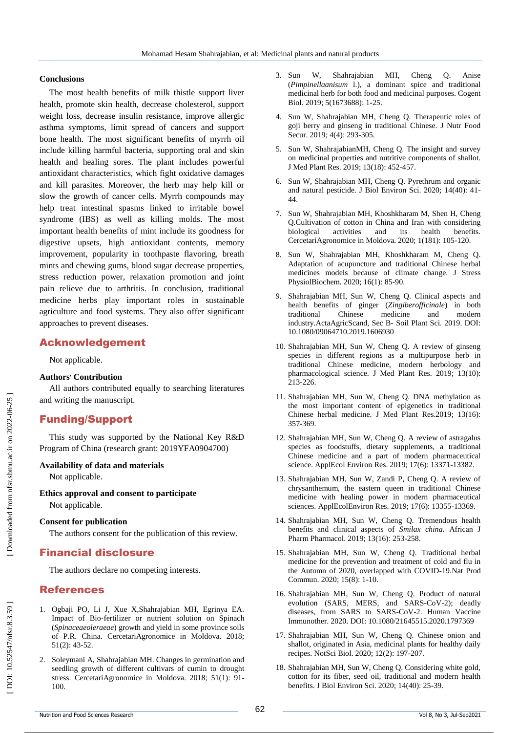#### **Conclusions**

The most health benefits of milk thistle support liver health, promote skin health, decrease cholesterol, support weight loss, decrease insulin resistance, improve allergic asthma symptoms, limit spread of cancers and support bone health. The most significant benefits of myrrh oil include killing harmful bacteria, supporting oral and skin health and healing sores. The plant includes powerful antioxidant characteristics, which fight oxidative damages and kill parasites. Moreover, the herb may help kill or slow the growth of cancer cells. Myrrh compounds may help treat intestinal spasms linked to irritable bowel syndrome (IBS) as well as killing molds. The most important health benefits of mint include its goodness for digestive upsets, high antioxidant contents, memory improvement, popularity in toothpaste flavoring, breath mints and chewing gums, blood sugar decrease properties, stress reduction power, relaxation promotion and joint pain relieve due to arthritis. In conclusion, traditional medicine herbs play important roles in sustainable agriculture and food systems. They also offer significant approaches to prevent diseases.

# Acknowledgement

Not applicable.

## **Authors , Contribution**

All authors contributed equally to searching literatures and writing the manuscript.

# Funding/Support

This study was supported by the National Key R&D Program of China (research grant: 2019YFA0904700)

#### **Availability of data and materials**

Not applicable.

#### **Ethics approval and consent to participate** Not applicable.

**Consent for publication**

The authors consent for the publication of this review.

# Financial disclosure

The authors declare no competing interests.

# References

- 1. Ogbaji PO, Li J, Xue X,Shahrajabian MH, Egrinya EA. Impact of Bio -fertilizer or nutrient solution on Spinach (*Spinaceaeoleraeae*) growth and yield in some province soils of P.R. China. CercetariAgronomice in Moldova. 2018; 51(2): 43 -52.
- 2 . Soleymani A, Shahrajabian MH. Changes in germination and seedling growth of different cultivars of cumin to drought stress. CercetariAgronomice in Moldova. 2018; 51(1): 91 - 100.
- 3. Sun . Sun W, Shahrajabian MH, Cheng Q. Anise (*Pimpinellaanisum* l.), a dominant spice and traditional medicinal herb for both food and medicinal purposes. Cogent Biol. 2019; 5(1673688): 1 -25.
- 4 . Sun W, Shahrajabian MH, Cheng Q. Therapeutic roles of goji berry and ginseng in traditional Chinese. J Nutr Food Secur. 2019; 4(4): 293 -305.
- 5 . Sun W, ShahrajabianMH, Cheng Q. The insight and survey on medicinal properties and nutritive components of shallot. J Med Plant Res. 2019; 13(18): 452 -457.
- 6 . Sun W, Shahrajabian MH, Cheng Q. Pyrethrum and organic and natural pesticide. J Biol Environ Sci. 2020; 14(40): 41 - 44.
- 7 . Sun W, Shahrajabian MH, Khoshkharam M, Shen H, Cheng Q.Cultivation of cotton in China and Iran with considering biological activities and its health benefits. CercetariAgronomice in Moldova. 2020; 1(181): 105 -120.
- 8 . Sun W, Shahrajabian MH, Khoshkharam M, Cheng Q. Adaptation of acupuncture and traditional Chinese herbal medicines models because of climate change. J Stress PhysiolBiochem. 2020; 16(1): 85 -90.
- 9 . Shahrajabian MH, Sun W, Cheng Q. Clinical aspects and health benefits of ginger (*Zingiberofficinale*) in both traditional Chinese medicine and modern industry.ActaAgricScand, Sec B - Soil Plant Sci. 2019. DOI: 10.1080/09064710.2019.1606930
- 10 . Shahrajabian MH, Sun W, Cheng Q. A review of ginseng species in different regions as a multipurpose herb in traditional Chinese medicine, modern herbology and pharmacological science. J Med Plant Res. 2019; 13(10): 213 -226.
- 11 . Shahrajabian MH, Sun W, Cheng Q. DNA methylation as the most important content of epigenetics in traditional Chinese herbal medicine. J Med Plant Res.2019; 13(16): 357 -369.
- 12 . Shahrajabian MH, Sun W, Cheng Q. A review of astragalus species as foodstuffs, dietary supplements, a traditional Chinese medicine and a part of modern pharmaceutical science. ApplEcol Environ Res. 2019; 17(6): 13371 -13382.
- 13 . Shahrajabian MH, Sun W, Zandi P, Cheng Q. A review of chrysanthemum, the eastern queen in traditional Chinese medicine with healing power in modern pharmaceutical sciences. ApplEcolEnviron Res. 2019; 17(6): 13355 -13369.
- 14 . Shahrajabian MH, Sun W, Cheng Q. Tremendous health benefits and clinical aspects of *Smilax china*. African J Pharm Pharmacol. 2019; 13(16): 253 -258.
- 15 . Shahrajabian MH, Sun W, Cheng Q. Traditional herbal medicine for the prevention and treatment of cold and flu in the Autumn of 2020, overlapped with COVID -19.Nat Prod Commun. 2020; 15(8): 1 -10.
- 16 . Shahrajabian MH, Sun W, Cheng Q. Product of natural evolution (SARS, MERS, and SARS-CoV-2); deadly diseases, from SARS to SARS -CoV -2. Human Vaccine Immunother. 2020. DOI: 10.1080/21645515.2020.1797369
- 17 . Shahrajabian MH, Sun W, Cheng Q. Chinese onion and shallot, originated in Asia, medicinal plants for healthy daily recipes. NotSci Biol. 2020; 12(2): 197 -207.
- 18 . Shahrajabian MH, Sun W, Cheng Q. Considering white gold, cotton for its fiber, seed oil, traditional and modern health benefits. J Biol Environ Sci. 2020; 14(40): 25 -39.

Downloaded from nfsr.sbmu.ac.ir on 2022-06-25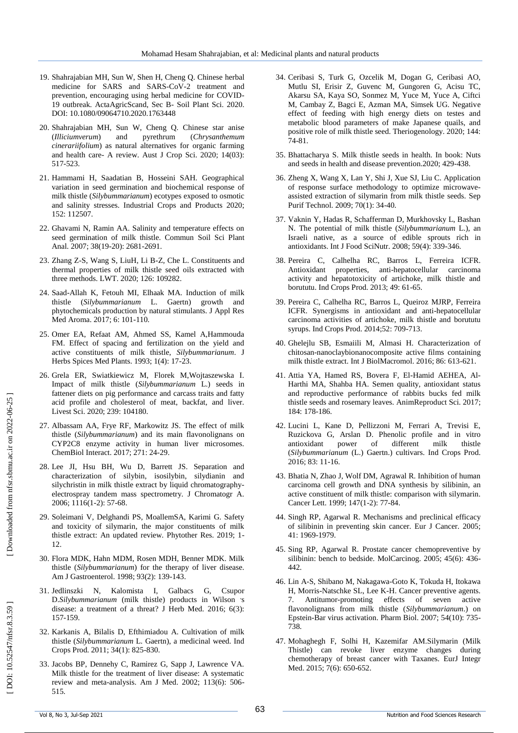- 19 . Shahrajabian MH, Sun W, Shen H, Cheng Q. Chinese herbal medicine for SARS and SARS-CoV-2 treatment and prevention, encouraging using herbal medicine for COVID - 19 outbreak. ActaAgricScand, Sec B - Soil Plant Sci. 2020. DOI: 10.1080/09064710.2020.1763448
- 20 . Shahrajabian MH, Sun W, Cheng Q. Chinese star anise (*Illiciumverum*) and pyrethrum (*Chrysanthemum cinerariifolium*) as natural alternatives for organic farming and health care - A review. Aust J Crop Sci. 2020; 14(03): 517 -523.
- 21 . Hammami H, Saadatian B, Hosseini SAH. Geographical variation in seed germination and biochemical response of milk thistle (*Silybummarianum*) ecotypes exposed to osmotic and salinity stresses. Industrial Crops and Products 2020; 152: 112507.
- 22 . Ghavami N, Ramin AA. Salinity and temperature effects on seed germination of milk thistle. Commun Soil Sci Plant Anal. 2007; 38(19-20): 2681-2691.
- 23 . Zhang Z -S, Wang S, LiuH, Li B -Z, Che L. Constituents and thermal properties of milk thistle seed oils extracted with three methods. LWT. 2020; 126: 109282.
- 24 . Saad -Allah K, Fetouh MI, Elhaak MA. Induction of milk thistle (*Silybummarianum* L. Gaertn) growth and phytochemicals production by natural stimulants. J Appl Res Med Aroma. 2017; 6: 101 -110.
- 25 . Omer EA, Refaat AM, Ahmed SS, Kamel A,Hammouda FM. Effect of spacing and fertilization on the yield and active constituents of milk thistle, *Silybummarianum*. J Herbs Spices Med Plants. 1993; 1(4): 17 -23.
- 26 . Grela ER, Swiatkiewicz M, Florek M,Wojtaszewska I. Impact of milk thistle (*Silybummarianum* L.) seeds in fattener diets on pig performance and carcass traits and fatty acid profile and cholesterol of meat, backfat, and liver. Livest Sci. 2020; 239: 104180.
- 27 . Albassam AA, Frye RF, Markowitz JS. The effect of milk thistle (*Silybummarianum*) and its main flavonolignans on CYP2C8 enzyme activity in human liver microsomes. ChemBiol Interact. 2017; 271: 24 -29.
- 28 . Lee JI, Hsu BH, Wu D, Barrett JS. Separation and characterization of silybin, isosilybin, silydianin and silychristin in milk thistle extract by liquid chromatography electrospray tandem mass spectrometry. J Chromatogr A. 2006; 1116(1 -2): 57 -68.
- 29 . Soleimani V, Delghandi PS, MoallemSA, Karimi G. Safety and toxicity of silymarin, the major constituents of milk thistle extract: An updated review. Phytother Res. 2019; 1 - 12.
- 30 . Flora MDK, Hahn MDM, Rosen MDH, Benner MDK. Milk thistle (*Silybummarianum*) for the therapy of liver disease. Am J Gastroenterol. 1998; 93(2): 139 -143.
- 31 . Jedlinszki N, Kalomista I, Galbacs G, Csupor D.Silybummarianum (milk thistle) products in Wilson 's disease: a treatment of a threat? J Herb Med. 2016; 6(3): 157 -159.
- 32 . Karkanis A, Bilalis D, Efthimiadou A. Cultivation of milk thistle (*Silybummarianum* L. Gaertn), a medicinal weed. Ind Crops Prod. 2011; 34(1): 825 -830.
- 33 . Jacobs BP, Dennehy C, Ramirez G, Sapp J, Lawrence VA. Milk thistle for the treatment of liver disease: A systematic review and meta -analysis. Am J Med. 2002; 113(6): 506 - 515.
- 34 . Ceribasi S, Turk G, Ozcelik M, Dogan G, Ceribasi AO, Mutlu SI, Erisir Z, Guvenc M, Gungoren G, Acisu TC, Akarsu SA, Kaya SO, Sonmez M, Yuce M, Yuce A, Ciftci M, Cambay Z, Bagci E, Azman MA, Simsek UG. Negative effect of feeding with high energy diets on testes and metabolic blood parameters of make Japanese quails, and positive role of milk thistle seed. Theriogenology. 2020; 144: 74 -81.
- 35 . Bhattacharya S. Milk thistle seeds in health. In book: Nuts and seeds in health and disease prevention.2020; 429 -438.
- 36 . Zheng X, Wang X, Lan Y, Shi J, Xue SJ, Liu C. Application of response surface methodology to optimize microwave assisted extraction of silymarin from milk thistle seeds. Sep Purif Technol. 2009; 70(1): 34 -40.
- 37 . Vaknin Y, Hadas R, Schafferman D, Murkhovsky L, Bashan N. The potential of milk thistle (*Silybummarianum* L.), an Israeli native, as a source of edible sprouts rich in antioxidants. Int J Food SciNutr. 2008; 59(4): 339 -346.
- 38 . Pereira C, Calhelha RC, Barros L, Ferreira ICFR. Antioxidant properties, anti -hepatocellular carcinoma activity and hepatotoxicity of artichoke, milk thistle and borututu. Ind Crops Prod. 2013; 49: 61 -65.
- 39 . Pereira C, Calhelha RC, Barros L, Queiroz MJRP, Ferreira ICFR. Synergisms in antioxidant and anti -hepatocellular carcinoma activities of artichoke, milk thistle and borututu syrups. Ind Crops Prod. 2014;52: 709 -713.
- 40 . Ghelejlu SB, Esmaiili M, Almasi H. Characterization of chitosan -nanoclaybionanocomposite active films containing milk thistle extract. Int J BiolMacromol. 2016; 86: 613 -621.
- 41 . Attia YA, Hamed RS, Bovera F, El -Hamid AEHEA, Al Harthi MA, Shahba HA. Semen quality, antioxidant status and reproductive performance of rabbits bucks fed milk thistle seeds and rosemary leaves. AnimReproduct Sci. 2017; 184: 178 -186.
- 42 . Lucini L, Kane D, Pellizzoni M, Ferrari A, Trevisi E, Ruzickova G, Arslan D. Phenolic profile and in vitro antioxidant power of different milk thistle (*Silybummarianum* (L.) Gaertn.) cultivars. Ind Crops Prod. 2016; 83: 11 -16.
- 43 . Bhatia N, Zhao J, Wolf DM, Agrawal R. Inhibition of human carcinoma cell growth and DNA synthesis by silibinin, an active constituent of milk thistle: comparison with silymarin. Cancer Lett. 1999; 147(1-2): 77-84.
- 44 . Singh RP, Agarwal R. Mechanisms and preclinical efficacy of silibinin in preventing skin cancer. Eur J Cancer. 2005; 41: 1969 -1979.
- 45 . Sing RP, Agarwal R. Prostate cancer chemopreventive by silibinin: bench to bedside. MolCarcinog. 2005; 45(6): 436 - 442.
- 46 . Lin A -S, Shibano M, Nakagawa -Goto K, Tokuda H, Itokawa H, Morris -Natschke SL, Lee K -H. Cancer preventive agents. 7. Antitumor effects of seven active flavonolignans from milk thistle (*Silybummarianum*.) on Epstein -Bar virus activation. Pharm Biol. 2007; 54(10): 735 - 738.
- 47 . Mohaghegh F, Solhi H, Kazemifar AM.Silymarin (Milk Thistle) can revoke liver enzyme changes during chemotherapy of breast cancer with Taxanes. EurJ Integr Med. 2015; 7(6): 650-652.

[Downloaded from nfsr.sbmu.ac.ir on 2022-06-25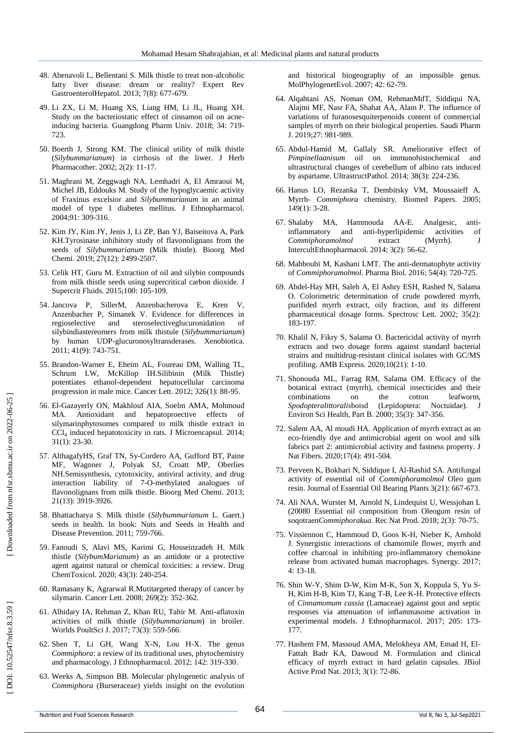- 48 . Abenavoli L, Bellentani S. Milk thistle to treat non -alcoholic fatty liver disease: dream or reality? Expert Rev GastroenterolHepatol. 2013; 7(8): 677 -679.
- 49 . Li ZX, Li M, Huang XS, Liang HM, Li JL, Huang XH. Study on the bacteriostatic effect of cinnamon oil on acne inducing bacteria. Guangdong Pharm Univ. 2018; 34: 719 - 723.
- 50. Boerth J, Strong KM. The clinical utility of milk thistle . Boerth J, Strong KM. The clinical utility of milk thistle (*Silybummarianum*) in cirrhosis of the liwer. J Herb Pharmacother. 2002; 2(2): 11 -17.
- 51 . Maghrani M, Zeggwagh NA, Lemhadri A, El Amraoui M, Michel JB, Eddouks M. Study of the hypoglycaemic activity of Fraxinus excelsior and *Silybummarianum* in an animal model of type 1 diabetes mellitus. J Ethnopharmacol. 2004;91: 309 -316.
- 52 . Kim JY, Kim JY, Jenis J, Li ZP, Ban YJ, Baiseitova A, Park KH.Tyrosinase inhibitory study of flavonolignans from the seeds of *Silybummarianum* (Milk thistle). Bioorg Med Chemi. 2019; 27(12): 2499 -2507.
- 53 . Celik HT, Guru M. Extraction of oil and silybin compounds from milk thistle seeds using supercritical carbon dioxide. J Supercrit Fluids. 2015;100: 105 -109.
- 54 . Jancova P, SillerM, Anzenbacherova E, Kren V, Anzenbacher P, Simanek V. Evidence for differences in regioselective and steroselectiveglucuronidation of silybindiastereomers from milk thistule (*Silybummarianum*) by human UDP -glucuronosyltransderases. Xenobiotica. 2011; 41(9): 743 -751.
- 55 . Brandon -Warner E, Eheim AL, Foureau DM, Walling TL, Schrum LW, McKillop IH.Silibinin (Milk Thistle) potentiates ethanol -dependent hepatocellular carcinoma progression in male mice. Cancer Lett. 2012; 326(1): 88 -95.
- 56 . El -Gazayerly ON, Makhlouf AIA, Soelm AMA, Mohmoud MA. Antioxidant and hepatoproective effects of silymarinphytosomes compared to milk thistle extract in CCl 4 induced hepatotoxicity in rats. J Microencapsul. 2014; 31(1): 23 -30.
- 57 . AlthagafyHS, Graf TN, Sy -Cordero AA, Gufford BT, Paine MF, Wagoner J, Polyak SJ, Croatt MP, Oberlies NH.Semisynthesis, cytotoxicity, antiviral activity, and drug interaction liability of 7 - O -methylated analogues of flavonolignans from milk thistle. Bioorg Med Chemi. 2013; 21(13): 3919 -3926.
- 58 . Bhattacharya S. Milk thistle ( *Silybummarianum* L. Gaert.) seeds in health. In book: Nuts and Seeds in Health and Disease Prevention. 2011; 759 -766.
- 59 . Fanoudi S, Alavi MS, Karimi G, Hosseinzadeh H. Milk thistle (*SilybumMarianum*) as an antidote or a protective agent against natural or chemical toxicities: a review. Drug ChemToxicol. 2020; 43(3): 240 -254.
- 60 . Ramasany K, Agrarwal R.Mutitargeted therapy of cancer by silymarin. Cancer Lett. 2008; 269(2): 352 -362.
- 61 . Alhidary IA, Rehman Z, Khan RU, Tahir M. Anti -aflatoxin activities of milk thistle (*Silybummarianum*) in broiler. Worlds PoultSci J. 2017; 73(3): 559 -566.
- 62 . Shen T, Li GH, Wang X -N, Lou H -X. The genus *Commiphora*: a review of its traditional uses, phytochemistry and pharmacology. J Ethnopharmacol. 2012; 142: 319 -330.
- 63 . Weeks A, Simpson BB. Molecular phylogenetic analysis of *Commiphora* (Burseraceae) yields insight on the evolution

and historical biogeography of an impossible genus. MolPhylogenetEvol. 2007; 42: 62 -79.

- 64 . Alqahtani AS, Noman OM, RehmanMdT, Siddiqui NA, Alajmi MF, Nasr FA, Shahat AA, Alam P. The influence of variations of furanosesquiterpenoids content of commercial samples of myrrh on their biological properties. Saudi Pharm J. 2019;27: 981 -989.
- 65 . Abdul -Hamid M, Gallaly SR. Ameliorative effect of *Pimpinellaanisum* oil on immunohistochemical and ultrastructural changes of cerebellum of albino rats induced by aspartame. UltrastructPathol. 2014; 38(3): 224 -236.
- 66 . Hanus LO, Rezanka T, Dembitsky VM, Moussaieff A. Myrrh - *Commiphora* chemistry. Biomed Papers. 2005; 149(1): 3 -28.
- 67 . Shalaby MA, Hammouda AA -E. Analgesic, anti antiinflammatory and anti-hyperlipidemic activities of *Commiphoramolmol* extract (Myrrh). J IntercultEthnopharmacol. 2014; 3(2): 56 -62.
- 68 . Mahboubi M, Kashani LMT. The anti -dermatophyte activity of *Commiphoramolmol*. Pharma Biol. 2016; 54(4): 720 -725.
- 69 . Abdel -Hay MH, Saleh A, El Ashry ESH, Rashed N, Salama O. Colorimetric determination of crude powdered myrrh, purifided myrrh extract, oily fraction, and its different pharmaceutical dosage forms. Spectrosc Lett. 2002; 35(2): 183 -197.
- 70 . Khalil N, Fikry S, Salama O. Bactericidal activity of myrrh extracts and two dosage forms against standard bacterial strains and multidrug-resistant clinical isolates with GC/MS profiling. AMB Express. 2020;10(21): 1 -10.
- 71 . Shonouda ML, Farrag RM, Salama OM. Efficacy of the botanical extract (myrrh), chemical insecticides and their combinations on the cotton leafworm, *Spodopteralittoralis*boisd (Lepidoptera: Noctuidae). J Environ Sci Health, Part B. 2000; 35(3): 347 -356.
- 72 . Salem AA, Al moudi HA. Application of myrrh extract as an eco -friendly dye and antimicrobial agent on wool and silk fabrics part 2: antimicrobial activity and fastness property. J Nat Fibers. 2020;17(4): 491 -504.
- 73 . Perveen K, Bokhari N, Siddique I, Al -Rashid SA. Antifungal activity of essential oil of *Commiphoramolmol* Oleo gum resin. Journal of Essential Oil Bearing Plants 3(21): 667 -673.
- 74 . Ali NAA, Wurster M, Arnold N, Lindequist U, Wessjohan L (20080 Essential oil composition from Oleogum resin of soqotraen*Commiphorakua*. Rec Nat Prod. 2018; 2(3): 70 -75.
- 75 . Vissiennon C, Hammoud D, Goos K -H, Nieber K, Arnhold J. Synergistic interactions of chamomile flower, myrrh and coffee charcoal in inhibiting pro -inflammatory chemokine release from activated human macrophages. Synergy. 2017; 4: 13 -18.
- 76 . Shin W -Y, Shim D -W, Kim M -K, Sun X, Koppula S, Yu S H, Kim H -B, Kim TJ, Kang T -B, Lee K -H. Protective effects of *Cinnamomum cassia* (Lamaceae) against gout and septic responses via attenuation of inflammasome activation in experimental models. J Ethnopharmacol. 2017; 205: 173 - 177.
- 77 . Hashem FM, Massoud AMA, Melokheya AM, Emad H, El Fattah Badr KA, Dawoud M. Formulation and clinical efficacy of myrrh extract in hard gelatin capsules. JBiol Active Prod Nat. 2013; 3(1): 72 -86.